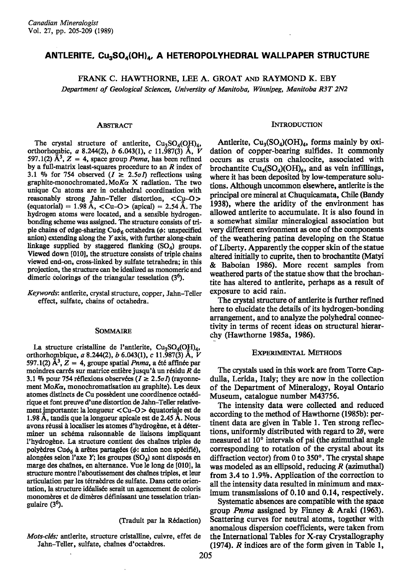# ANTLERITE, Cu<sub>3</sub>SO<sub>4</sub>(OH)<sub>4</sub>, A HETEROPOLYHEDRAL WALLPAPER STRUCTURE

FRANK C. HAWTHORNE, LEE A. GROAT AND RAYMOND K. EBY Department of Geological Sciences, University of Manitoba, Winnipeg, Manitoba R3T 2N2

## **ABSTRACT**

The crystal structure of antierite,  $Cu<sub>3</sub>SO<sub>4</sub>(OH)<sub>4</sub>$ , orthorhombic, a 8.244(2), b 6.043(1), c 11.987(3) Å, V 597.1(2)  $\mathring{A}^3$ , Z = 4, space group *Pnma*, has been refined by a full-matrix least-squares procedure to an  $R$  index of 3.1 % for 754 observed  $(I \ge 2.5\sigma I)$  reflections using graphite-monochromated. MoKa X radiation. The two unique Cu atoms are in octahedral coordination with reasonably strong Jahn-Teller distortion,  $\langle Cu-O \rangle$ <br>(equatorial) = 1.98 Å,  $\langle Cu-O \rangle$  (apical) = 2.54 Å. The hydrogen atoms were located, and a sensible hydrogenbonding scheme was assigned. The structure consists of triple chains of edge-sharing  $Cu\phi_6$  octahedra ( $\phi$ : unspecified anion) extending along the Y axis, with further along-chain linkage supplied by staggered flanking  $(SO<sub>A</sub>)$  groups. Viewed down [010], the structure consists of triple chains viewed end-on, cross-linked by sulfate tetrahedra; in this projection, the structure can be idealized as monomeric and dimeric colorings of the triangular tesselation  $(3<sup>6</sup>)$ .

Keywords: antlerite, crystal structure, copper, Jahn-Teller effect, sulfate, chains of octahedra.

#### SOMMAIRE

La structure cristalline de l'antlerite, Cu<sub>3</sub>SO<sub>4</sub>(OH)<sub>4</sub>, orthorhombique, a 8.244(2), b 6.043(1), c 11.987(3) Å, V 597.1(2)  $\mathbf{A}^3$ , Z = 4, groupe spatial *Pnma*, a été affinée par moindres carrés sur matrice entière jusqu'à un résidu R de 3.1 % pour 754 réflexions observées ( $I \ge 2.5\sigma I$ ) (rayonnement  $M \circ K \alpha$ , monochromatisation au graphite). Les deux atomes distincts de Cu possèdent une coordinence octaédrique et font preuve d'une distortion de Jahn-Teller relativement importante: la longueur < Cu-O > équatoriale est de 1.98 Å, tandis que la longueur apicale est de 2.45 Å. Nous avons réussi à localiser les atomes d'hydrogène, et à déterminer un schéma raisonnable de liaisons impliquant l'hydrogène. La structure contient des chaînes triples de polyèdres Cu $\phi_6$  à arêtes partagées ( $\phi$ : anion non spécifié), alongées selon l'axe Y; les groupes (SO<sub>4</sub>) sont disposés en marge des chaînes, en alternance. Vue le long de [010], la structure montre l'aboutissement des chaînes triples, et leur articulation par les tétraèdres de sulfate. Dans cette orientation, la structure idéalisée serait un agencement de coloris monomères et de dimères définissant une tesselation triangulaire  $(3<sup>6</sup>)$ .

### (Traduit par la Rédaction)

Mots-clés: antlerite, structure cristalline, cuivre, effet de Jahn-Teller, sulfate, chaînes d'octaèdres.

#### **INTRODUCTION**

Antlerite,  $Cu_3(SO_4)(OH)_4$ , forms mainly by oxidation of copper-bearing sulfides. It commonly occurs as crusts on chalcocite, associated with brochantite  $Cu_4(SO_4)(OH)_6$ , and as vein infillings, where it has been deposited by low-temperature solutions. Although uncommon elsewhere, antlerite is the principal ore mineral at Chuquicamata, Chile (Bandy 1938), where the aridity of the environment has allowed antierite to accumulate. It is also found in a somewhat similar mineralogical association but very different environment as one of the components of the weathering patina developing on the Statue of Liberty. Apparently the copper skin of the statue altered initially to cuprite, then to brochantite (Matyi & Baboian 1986). More recent samples from weathered parts of the statue show that the brochantite has altered to antierite, perhaps as a result of exposure to acid rain.

The crystal structure of antierite is further refined here to elucidate the details of its hydrogen-bonding arrangement, and to analyze the polyhedral connectivity in terms of recent ideas on structural hierarchy (Hawthorne 1985a, 1986).

### **EXPERIMENTAL METHODS**

The crystals used in this work are from Torre Capdulla, Lerida, Italy; they are now in the collection of the Department of Mineralogy, Royal Ontario Museum, catalogue number M43756.

The intensity data were collected and reduced according to the method of Hawthorne (1985b): pertinent data are given in Table 1. Ten strong reflections, uniformly distributed with regard to  $2\theta$ , were measured at 10° intervals of psi (the azimuthal angle corresponding to rotation of the crystal about its diffraction vector) from 0 to  $350^\circ$ . The crystal shape was modeled as an ellipsoid, reducing  $R$  (azimuthal) from 3.4 to 1.9%. Application of the correction to all the intensity data resulted in minimum and maximum transmissions of 0.10 and 0.14, respectively.

Systematic absences are compatible with the space group *Pnma* assigned by Finney & Araki (1963). Scattering curves for neutral atoms, together with anomalous dispersion coefficients, were taken from the International Tables for X-ray Crystallography  $(1974)$ . *R* indices are of the form given in Table 1,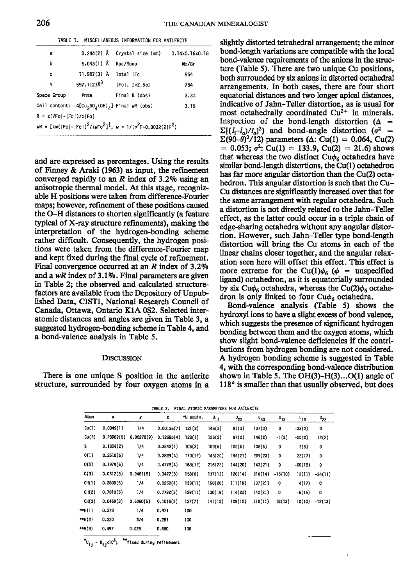|  | TABLE 1. MISCELLANEOUS INFORMATION FOR ANTLERITE |  |  |
|--|--------------------------------------------------|--|--|
|  |                                                  |  |  |

| a                                 |                                                  | 8.244(2) Å Crystal size (mm) 0.14x0.16x0.18                                  |       |
|-----------------------------------|--------------------------------------------------|------------------------------------------------------------------------------|-------|
| b                                 | $6.043(1)$ Å                                     | Rad/Mono                                                                     | Mo/Gr |
| c                                 | $11.987(3)$ Å                                    | Total [Fo]                                                                   | 954   |
| ۷                                 | 597.1(2) $\lambda^3$                             | $[Fe]$ , $I > 2.5 \sigma I$                                                  | 754   |
| Space Group                       | Pnma                                             | Final R (obs)                                                                | 3.3%  |
|                                   | Cell content: $4[Cu_3SO_4(0H)_4]$ Final wR (obs) |                                                                              | 3.1%  |
| $R = \sum (F_0[-[Fc])/\Sigma]F_0$ |                                                  |                                                                              |       |
|                                   |                                                  | $WR = [zw([F0]- Fc )]^2/zwF0^2]^{\frac{1}{2}}$ , $w = 1/(v^2F+0.0032(2)F^2)$ |       |
|                                   |                                                  |                                                                              |       |

and are expressed as percentages. Using the results of Finney & Araki (1963) as input, the refinement converged rapidly to an  $R$  index of 3.2% using an anisotropic thermal model. At this stage, recognizable H positions were taken from difference-Fourier maps; however, refinement of these positions caused the O-H distances to shorten significantly (a feature typical of X-ray structure refinements), making the interpretation of the hydrogen-bonding scheme rather difficult. Consequently, the hydrogen positions were taken from the difference-Fourier map and kept fixed during the final cycle of refinement. Final convergence occurred at an  $R$  index of 3.2% and a wR index of  $3.1\%$ . Final parameters are given in Table 2; the observed and calculated structurefactors are available from the Depository of Unpub-Iished Data, CISTI, National Research Council of Canada, Ottawa, Ontario KIA 0S2. Selected interatomic distances and angles are given in Table 3, a suggested hydrogen-bonding scheme in Table 4, and a bond-valence analysis in Table 5.

## DISCUSSION

There is one unique S position in the antlerite structure, surrounded by four oxygen atoms in a

slightly distorted tetrahedral arrangement; the minor bond-length variations are compatible with the local bond-valence requirements of the anions in the structure (Table 5). There are two unique Cu positions, both surrounded by six anions in distorted octahedral arrangements. In both cases, there are four short equatorial distances and two longer apical distances, indicative of Jahn-Teller distortion, as is usual for most octahedrally coordinated  $Cu^{2+}$  in minerals. Inspection of the bond-length distortion ( $\Delta$  =  $\Sigma[(l_i-l_o)/l_o]^2$  and bond-angle distortion ( $\sigma^2$  =  $\Sigma(90-\theta)^2/12$ ) parameters ( $\Delta$ : Cu(1) = 0.064, Cu(2)  $= 0.053$ ;  $\sigma^2$ : Cu(1) = 133.9, Cu(2) = 21.6) shows that whereas the two distinct  $Cu\phi_6$  octahedra have similar bond-length distortions, the Cu(l) octahedron has far more angular distortion than the Cu(2) octahedron. This angular distortion is such that the Cu-Cu distances are significantly increased over that for the same arrangement with regular octahedra. Such a distortion is not directly related to the Jahn-Teller effect, as the latter could occur in a triple chain of edge-sharing octahedra without any angular distortion. However, such Jahn-Teller type bond-length distortion will bring the Cu atoms in each of the linear chains closer together, and the angular relaxation seen here will offset this effect. This effect is more extreme for the Cu(1) $\phi$ <sub>6</sub> ( $\phi$  = unspecified ligand) octahedron, as it is equatorially surrounded by six Cu $\phi_6$  octahedra, whereas the Cu(2) $\phi_6$  octahedron is only linked to four Cu $\phi_6$  octahedra.

Bond-valence analysis (Table 5) shows the hydroxyl ions to have a slight excess of bond valence. which suggests the presence of significant hydrogen bonding between them and the oxygen atoms, which show slight bond-valence deficiencies if the contributions from hydrogen bonding are not considered. A hydrogen bonding scheme is suggested in Table 4, with the corresponding bond-valence distribution shown in Table 5. The  $OH(3)$ - $H(3)$ ...O(1) angle of  $118<sup>o</sup>$  is smaller than that usually observed, but does

|  |  | TABLE 2. FINAL ATOMIC PARAMETERS FOR ANTLERITE |  |
|--|--|------------------------------------------------|--|
|  |  |                                                |  |

| Atom   | ×          | у          | z          | *U equiv. | $\mathbf{u}_{11}$ | $\cdot v_{22}$ | $\mathsf{u}_{33}$ | $^{U_{12}}$ | $\mathsf{u}_{13}$ | $^{11}$ 23 |
|--------|------------|------------|------------|-----------|-------------------|----------------|-------------------|-------------|-------------------|------------|
| Cu(1)  | 0.0049(1)  | 1/4        | 0.00135(7) | 121(2)    | 145(3)            | 81(3)          | 137(3)            | 0           | $-33(2)$          | 0          |
| Cu(2)  | 0.28982(5) | 0.00278(9) | 0.12585(4) | 123(1)    | 126(2)            | 97(2)          | 146(2)            | $-1(2)$     | $-20(2)$          | 12(2)      |
| s      | 0.1304(2)  | 1/4        | 0.3642(1)  | 105(3)    | 109(6)            | 100(6)         | 108(6)            | 0           | 3(5)              | 0          |
| 0(1)   | 0.2618(5)  | 1/4        | 0.2829(4)  | 170(12)   | 145(20)           | 154(21)        | 209(23)           | 0           | 22(17)            | 0          |
| 0(2)   | 0.1979(5)  | 1/4        | 0.4778(4)  | 168(12)   | 216(22)           | 144(20)        | 143(21)           | $\mathbf 0$ | $-60(18)$         | 0          |
| 0(3)   | 0.0312(3)  | 0.0481(5)  | 0.3477(3)  | 158(8)    | 137 (12)          | 120(14)        | 218(14)           | $-15(10)$   | 15(11)            | $-24(11)$  |
| OH(1)  | 0,2809(5)  | 1/4        | 0.0250(4)  | 133(11)   | 150 (20)          | 111(19)        | 137(21)           | 0           | 4(17)             | 0          |
| OH(2)  | 0.7010(5)  | 1/4        | 0.7792(3)  | 129(11)   | 130(19)           | 114(20)        | 142(21)           | 0           | $-6(16)$          | 0          |
| OH(3)  | 0.0469(3)  | 0.5060(5)  | 0.1016(2)  | 127(7)    | 141(12)           | 129(12)        | 110(11)           | 18(13)      | 10(10)            | $-12(13)$  |
| **H(1) | 0.373      | 1/4        | 0.971      | 100       |                   |                |                   |             |                   |            |
| **H(2) | 0.220      | 3/4        | 0.261      | 100       |                   |                |                   |             |                   |            |
| **H(3) | 0.497      | 0.025      | 0.660      | 100       |                   |                |                   |             |                   |            |

U<sub>ij</sub> = U<sub>ij</sub>xlO<sup>4</sup>; <sup>\*\*</sup>fixed during refinemer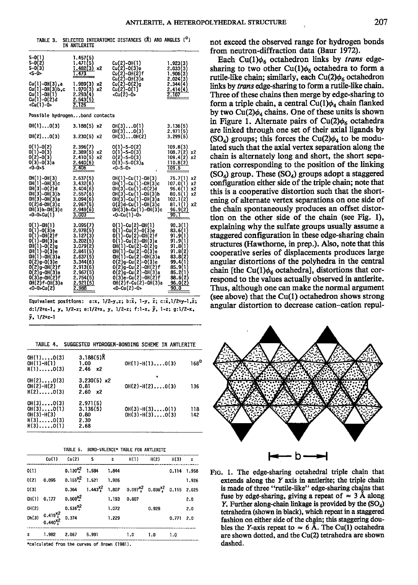| TABLE 3.                        | IN ANTLERITE           | SELECTED INTERATOMIC DISTANCES (R) AND ANGLES ( <sup>O</sup> ) |          |
|---------------------------------|------------------------|----------------------------------------------------------------|----------|
| $S - 0(1)$                      | 1.457(5)               |                                                                |          |
|                                 | 1.471                  | $Cu(2)-OH(1)$                                                  | 1.923(3) |
| S-0(2)<br>S-0(3)<br><s-0></s-0> | 1.482(3)<br>x2         | $Cu(2)-O(3)e$                                                  | 2.033(3) |
|                                 | 473                    | Cu(2)-OH(2)f                                                   | 1.906(3) |
|                                 |                        | Cu(2)<br>-0H(3)a                                               | 2.024(3) |
| Cu(1)-OH(3).a                   | 1.989(3)<br>x2         | $Cu(2)-O(2)g$                                                  | 2.344    |
| Cu<br>Cu<br>⊩oli<br>(3)b.c      | x2<br>1.970(<br>2.293( | Cu(2)-0(1)                                                     |          |
|                                 |                        | $\sqrt{cu(2)} - 0$                                             |          |
| Cu(1)-0(2)d                     | 2.543(5)               |                                                                |          |

<Cu(1)-0>

| Possible hydrogenbond contacts                                                                                                                                                                                     |                                                                                                                                                       |                                                                                                                                                                                                                                                                                                           |                                                                                                                                         |  |  |  |  |
|--------------------------------------------------------------------------------------------------------------------------------------------------------------------------------------------------------------------|-------------------------------------------------------------------------------------------------------------------------------------------------------|-----------------------------------------------------------------------------------------------------------------------------------------------------------------------------------------------------------------------------------------------------------------------------------------------------------|-----------------------------------------------------------------------------------------------------------------------------------------|--|--|--|--|
| OH(1)O(3)                                                                                                                                                                                                          | $3.188(5) \times 2$                                                                                                                                   | OH(3)O(1)<br>OH(3)O(3)                                                                                                                                                                                                                                                                                    | 3.136(5)<br>2.971(5)                                                                                                                    |  |  |  |  |
| OH(2)O(3)                                                                                                                                                                                                          | $3.230(5) \times 2$                                                                                                                                   | $OH(3)$ OH $(2)$                                                                                                                                                                                                                                                                                          | 3.299(5)                                                                                                                                |  |  |  |  |
| $0(1)-0(2)$<br>$0(1)-0(3)$<br>$0(2)-0(3)$<br>$0(3)-0(3)a$<br>$<0-0>$ S                                                                                                                                             | 2.396(7)<br>2.389(5)<br>x2<br>2.410(5)<br>x2<br>2,440(6)<br>2.406                                                                                     | $0(1)-S-0(2)$<br>0(1)-S-0(3)<br>$0(2)-S-0(3)$<br>$0(3)$ -S- $0(3)_{a}$<br>$<0-S-0>$                                                                                                                                                                                                                       | 109.8(3)<br>108.7(2)<br>x2<br>109.4(2)<br>x2<br>110.8(2)<br>109.5                                                                       |  |  |  |  |
| OH(1)-OH(3)<br>OH(1)-OH(3)c<br>OH(3)-0(2)d<br>$OH(3)-OH(3)$ b<br>OH(3)-OH(3)a<br>$0(2)d-0H(3)c$<br>OH(3)b-OH(3)c<br><0-0>Cu(1)                                                                                     | 2.637(5)<br>3.432(6)<br>3.404(6)<br>2.557(6)<br>3.094(6)<br>2.967(5)<br>2.949(6)<br>3.003                                                             | OH(1)-Cu(1)-OH(3)<br>OH(1)-Cu(1)-OH(3)c<br>OH(3)-Cu(1)-O(2)d<br>OH(3)-Cu(1)-OH(3)b<br>OH(3)-Cu(1)-OH(3)a<br>0(2)d-Cu(1)-OH(3)c<br>0H(3)b-Cu(1)-0H(3)c<br>$-0$ -Cu(1)-0>                                                                                                                                   | 75.7(1)<br>x2<br>107.0(1)<br>x2<br>96.6(1)<br>x2<br>80.5(1)<br>x2<br>102.1(2)<br>81.1(1)<br>x2<br>96.9(2)<br>90.T                       |  |  |  |  |
| $0(1)-0H(1)$<br>$0(1)-0(3)e$<br>$0(1)-0H(2)$ f<br>$0(1)-0H(3)a$<br>$0H(1)-0(2)g$<br>OH(1)-O(3)e<br>OH(1)-OH(3)a<br>$0(2)$ g-0(3)e<br>0(2)g-0H(2)f<br>0(2)g-0H(3)a<br>$0(3)e-0H(2)f$<br>OH(2)f-OH(3)a<br><0-0>Cu(2) | 3.095(7)<br>2.978(5)<br>3.127(3)<br>3.202(5)<br>3.079(2)<br>2.841(5)<br>2.637(5)<br>3.344(6)<br>2.913(6)<br>2.967(5)<br>2.754(5)<br>2.921(5)<br>2.988 | 0(1)-Cu(2)-OH(1)<br>$0(1)-Cu(2)-0(3)e$<br>$0(1)$ -Cu $(2)$ -OH $(2)$ f<br>0(1)-Cu(2)-OH(3)a<br>0H(1)-Cu(2)-0(2)g<br>OH(1)-Cu(2)-O(3)e<br>OH(1)-Cu(2)-OH(3)a<br>$0(2)$ g-Cu $(2)$ -O $(3)$ e<br>$O(2)g-Cu(2)-OH(2)f$<br>$0(2)g-Cu(2)-OH(3)a$<br>0(3)e-Cu(2)-OH(2)f<br>OH(2)f-Cu(2)-OH(3)a<br>$<0-Cu(2)-0>$ | 90.3(1)<br>83.6(1)<br>91.9(1)<br>91.9(1)<br>91.8(1)<br>91.8(2)<br>83.8(2)<br>99.4(1<br>85.9(1)<br>85.2(1)<br>88.6(2)<br>96.0(2)<br>90.0 |  |  |  |  |

Equivalent positions: a:x, 1/2-y,z; b:x, 1-y, z; c:x, 1/2+y-1,z; d:1/2+x-1, y, 1/2-z; e:1/2+x, y, 1/2-z; f:1-x, y, 1-z; g:1/2-x,  $\bar{y}$ , 1/2+z-1

TABLE 4. SUGGESTED HYDROGEN-RONDING SCHEME IN ANTLERITE

| $OH(1), \ldots$ 0(3)<br>$OH(1)-H(1)$<br>$H(1), \ldots, 0(3)$                                                   | $3.188(5)$ R<br>1.00<br>2.46<br>x2           | $OH(1)-H(1), \ldots, O(3)$                 | 168 <sup>0</sup> |
|----------------------------------------------------------------------------------------------------------------|----------------------------------------------|--------------------------------------------|------------------|
| $OH(2), \ldots, 0(3)$<br>$OH(2)-H(2)$<br>$H(2), \ldots, 0(3)$                                                  | $3.230(5) \times 2$<br>0.81<br>2.60<br>x2    | $OH(2)-H(2)O(3)$                           | 136              |
| $OH(3), \ldots, O(3)$<br>$OH(3), \ldots, O(1)$<br>$OH(3)-H(3)$<br>$H(3), \ldots, 0(3)$<br>$H(3), \ldots, 0(1)$ | 2.971(5)<br>3.136(5)<br>0.80<br>2.30<br>2.68 | $OH(3)-H(3)$ $O(1)$<br>$OH(3)-H(3)$ $O(3)$ | 118<br>142       |

| LE 5. | BOND-VALENCE* TABLE FOR ANTLERITE |  |  |
|-------|-----------------------------------|--|--|
|       |                                   |  |  |

|       | Cu(1)                                             | Cu(2)               | — s   | Σ     | H(1)                                                               | H(2)  | H(3)  | $\boldsymbol{\Sigma}$ |
|-------|---------------------------------------------------|---------------------|-------|-------|--------------------------------------------------------------------|-------|-------|-----------------------|
| 0(1)  |                                                   | $0.130^{x^2}$ 1.584 |       | 1.844 |                                                                    |       |       | 0.114 1.958           |
| 0(2)  | 0.095                                             | $0.155^{x^2}$ 1.521 |       | 1.926 |                                                                    |       |       | 1.926                 |
| 0(3)  |                                                   |                     |       |       | $0.364$ $1.443^{X2}$ $1.807$ $0.097^{X2}$ $0.036^{X2}$ 0.115 2.025 |       |       |                       |
| OH(1) | 0.177                                             | $0.508^{X2}_{Y}$    |       | 1.193 | 0.807                                                              |       |       | 2.0                   |
| OH(2) |                                                   | $0.536^{X2}$        |       | 1.072 |                                                                    | 0.928 |       | 2.0                   |
| 0h(3) | $0.415^{x2}_{+}$ 0.374<br>0.440 $^{x2}_{+}$ 0.374 |                     |       | 1.229 |                                                                    |       | 0.771 | 2.0                   |
| Σ     | 1.982                                             | 2.067               | 5.991 |       | 1.0                                                                | 1.0   | 1.0   |                       |

\*calculated from the curves of Brown (1981).

TAB

not exceed the observed range for hydrogen bonds from neutron-diffraction data (Baur 1972).

Each Cu(1) $\phi_6$  octahedron links by *trans* edgesharing to two other Cu(1) $\phi_6$  octahedra to form a rutile-like chain; similarly, each Cu(2) $\phi_6$  octahedron links by *trans* edge-sharing to form a rutile-like chain. Three of these chains then merge by edge-sharing to form a triple chain, a central Cu(1) $\phi_4$  chain flanked by two  $Cu(2)\phi_4$  chains. One of these units is shown in Figure 1. Alternate pairs of Cu(2) $\phi_6$  octahedra are linked through one set of their axial ligands by (SO<sub>4</sub>) groups; this forces the Cu(2) $\phi_4$  to be modulated such that the axial vertex separation along the chain is alternately long and short, the short separation corresponding to the position of the linking  $(SO_4)$  group. These  $(SO_4)$  groups adopt a staggered configuration either side of the triple chain; note that this is a cooperative distortion such that the shortening of alternate vertex separations on one side of the chain spontaneously produces an offset distortion on the other side of the chain (see Fig. 1), explaining why the sulfate groups usually assume a staggered configuration in these edge-sharing chain structures (Hawthorne, in prep.). Also, note that this cooperative series of displacements produces large angular distortions of the polyhedra in the central chain [the Cu(1) $\phi_6$  octahedra], distortions that correspond to the values actually observed in antlerite. Thus, although one can make the normal argument (see above) that the  $Cu(1)$  octahedron shows strong angular distortion to decrease cation-cation repul-



FIG. 1. The edge-sharing octahedral triple chain that extends along the  $Y$  axis in antierite; the triple chain is made of three "rutile-like" edge-sharing chains that fuse by edge-sharing, giving a repeat of  $\approx 3$  Å along Y. Further along-chain linkage is provided by the  $(SO<sub>4</sub>)$ tetrahedra (shown in black), which repeat in a staggered fashion on either side of the chain; this staggering doubles the Y-axis repeat to  $\approx$  6 Å. The Cu(1) octahedra are shown dotted, and the Cu(2) tetrahedra are shown dashed.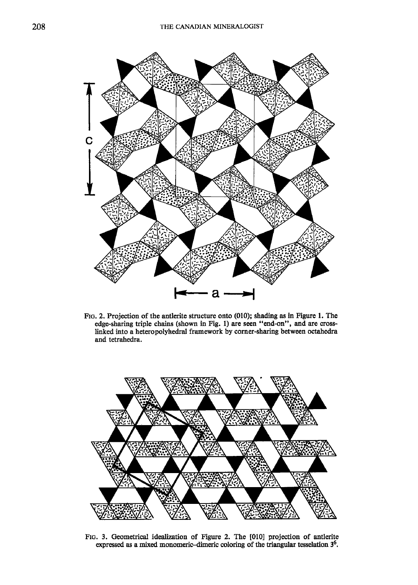

FIG. 2. Projection of the antlerite structure onto (010); shading as in Figure 1. The edge-sharing triple chains (shown in Fig. l) are seen "end-on", and are crosslinked into a heteropolyhedral framework by corner-sharing between octahedra and tetrahedra.



Ftc. 3. Geometrical idealization of Figure 2. The [010] projection of antlerite expressed as a mixed monomeric-dimeric coloring of the triangular tesselation  $3^6$ .